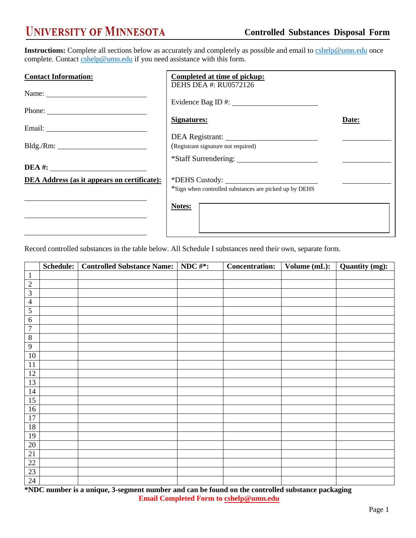## **UNIVERSITY OF MINNESOTA**

**Instructions:** Complete all sections below as accurately and completely as possible and email to **cshelp@umn.edu** once complete. Contact [cshelp@umn.edu](mailto:cshelp@umn.edu) if you need assistance with this form.

| <b>Contact Information:</b>                        | Completed at time of pickup:                           |       |  |  |  |  |
|----------------------------------------------------|--------------------------------------------------------|-------|--|--|--|--|
|                                                    | DEHS DEA #: RU0572126<br>Evidence Bag ID #:            |       |  |  |  |  |
|                                                    | <b>Signatures:</b>                                     | Date: |  |  |  |  |
|                                                    |                                                        |       |  |  |  |  |
|                                                    | (Registrant signature not required)                    |       |  |  |  |  |
| $DEA \#:\_$                                        |                                                        |       |  |  |  |  |
| <b>DEA Address (as it appears on certificate):</b> | *Sign when controlled substances are picked up by DEHS |       |  |  |  |  |
|                                                    | Notes:                                                 |       |  |  |  |  |
|                                                    |                                                        |       |  |  |  |  |

Record controlled substances in the table below. All Schedule I substances need their own, separate form.

|                 | Schedule: | <b>Controlled Substance Name:</b> | NDC $#$ *: | <b>Concentration:</b> | Volume (mL): | <b>Quantity (mg):</b> |
|-----------------|-----------|-----------------------------------|------------|-----------------------|--------------|-----------------------|
| $\mathbf{1}$    |           |                                   |            |                       |              |                       |
| $\sqrt{2}$      |           |                                   |            |                       |              |                       |
| $\overline{3}$  |           |                                   |            |                       |              |                       |
| $\overline{4}$  |           |                                   |            |                       |              |                       |
| $\overline{5}$  |           |                                   |            |                       |              |                       |
| $\overline{6}$  |           |                                   |            |                       |              |                       |
| $\overline{7}$  |           |                                   |            |                       |              |                       |
| $\, 8$          |           |                                   |            |                       |              |                       |
| $\overline{9}$  |           |                                   |            |                       |              |                       |
| $10\,$          |           |                                   |            |                       |              |                       |
| 11              |           |                                   |            |                       |              |                       |
| $12\,$          |           |                                   |            |                       |              |                       |
| 13              |           |                                   |            |                       |              |                       |
| 14              |           |                                   |            |                       |              |                       |
| 15              |           |                                   |            |                       |              |                       |
| 16              |           |                                   |            |                       |              |                       |
| 17              |           |                                   |            |                       |              |                       |
| 18              |           |                                   |            |                       |              |                       |
| 19              |           |                                   |            |                       |              |                       |
| $20\,$          |           |                                   |            |                       |              |                       |
| 21              |           |                                   |            |                       |              |                       |
| $22\,$          |           |                                   |            |                       |              |                       |
| $\overline{23}$ |           |                                   |            |                       |              |                       |
| 24              |           |                                   |            |                       |              |                       |

**\*NDC number is a unique, 3-segment number and can be found on the controlled substance packaging Email Completed Form t[o cshelp@umn.edu](mailto:cshelp@umn.edu)**